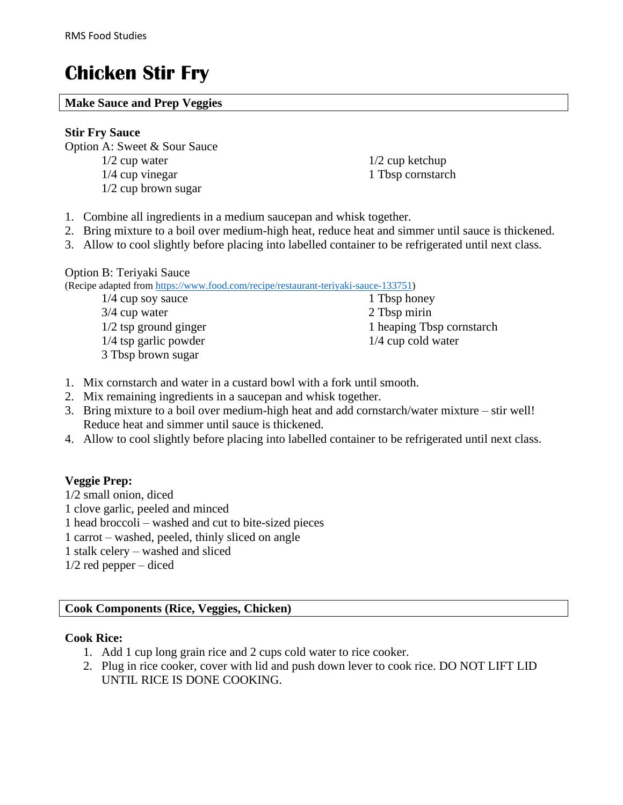# **Chicken Stir Fry**

#### **Make Sauce and Prep Veggies**

#### **Stir Fry Sauce**

Option A: Sweet & Sour Sauce

- 1/2 cup water
- 1/4 cup vinegar
- 1/2 cup brown sugar
- 1/2 cup ketchup 1 Tbsp cornstarch
- 1. Combine all ingredients in a medium saucepan and whisk together.
- 2. Bring mixture to a boil over medium-high heat, reduce heat and simmer until sauce is thickened.
- 3. Allow to cool slightly before placing into labelled container to be refrigerated until next class.

#### Option B: Teriyaki Sauce

(Recipe adapted from [https://www.food.com/recipe/restaurant-teriyaki-sauce-133751\)](https://www.food.com/recipe/restaurant-teriyaki-sauce-133751)

1/4 cup soy sauce 3/4 cup water 1/2 tsp ground ginger 1/4 tsp garlic powder 3 Tbsp brown sugar

1 Tbsp honey 2 Tbsp mirin 1 heaping Tbsp cornstarch 1/4 cup cold water

- 1. Mix cornstarch and water in a custard bowl with a fork until smooth.
- 2. Mix remaining ingredients in a saucepan and whisk together.
- 3. Bring mixture to a boil over medium-high heat and add cornstarch/water mixture stir well! Reduce heat and simmer until sauce is thickened.
- 4. Allow to cool slightly before placing into labelled container to be refrigerated until next class.

# **Veggie Prep:**

1/2 small onion, diced 1 clove garlic, peeled and minced 1 head broccoli – washed and cut to bite-sized pieces 1 carrot – washed, peeled, thinly sliced on angle 1 stalk celery – washed and sliced 1/2 red pepper – diced

## **Cook Components (Rice, Veggies, Chicken)**

## **Cook Rice:**

- 1. Add 1 cup long grain rice and 2 cups cold water to rice cooker.
- 2. Plug in rice cooker, cover with lid and push down lever to cook rice. DO NOT LIFT LID UNTIL RICE IS DONE COOKING.